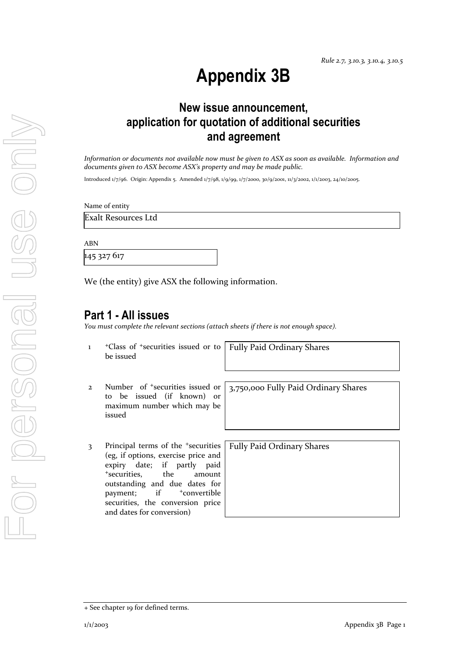# **Appendix 3B**

# **New issue announcement, application for quotation of additional securities and agreement**

*Information or documents not available now must be given to ASX as soon as available. Information and documents given to ASX become ASX's property and may be made public.*

Introduced 1/7/96. Origin: Appendix 5. Amended 1/7/98, 1/9/99, 1/7/2000, 30/9/2001, 11/3/2002, 1/1/2003, 24/10/2005.

Name of entity

Exalt Resources Ltd

ABN

145 327 617

We (the entity) give ASX the following information.

## **Part 1 - All issues**

*You must complete the relevant sections (attach sheets if there is not enough space).*

1 <sup>+</sup>Class of +securities issued or to be issued

Fully Paid Ordinary Shares

- 2 Number of +securities issued or to be issued (if known) or maximum number which may be issued
- 3 Principal terms of the <sup>+</sup>securities (eg, if options, exercise price and expiry date; if partly paid <sup>+</sup>securities, the amount outstanding and due dates for payment; if  $+$ convertible securities, the conversion price and dates for conversion)

3,750,000 Fully Paid Ordinary Shares

Fully Paid Ordinary Shares

<sup>+</sup> See chapter 19 for defined terms.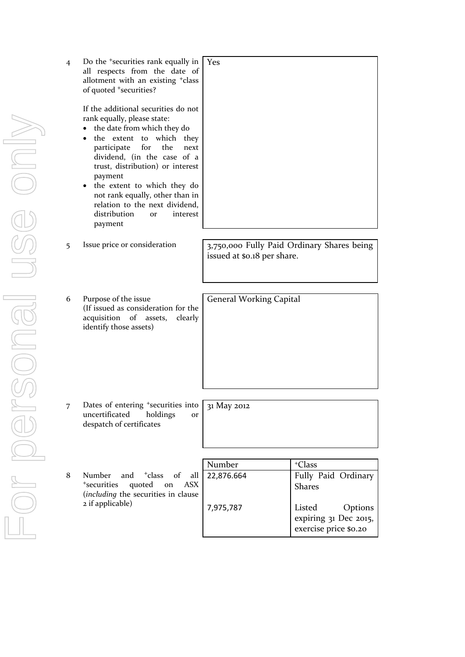| 4 | Do the <sup>+</sup> securities rank equally in<br>all respects from the date of<br>allotment with an existing <sup>+</sup> class<br>of quoted <sup>+</sup> securities?                                                                                                                                                                                                                                                                  | Yes                            |                                                                     |
|---|-----------------------------------------------------------------------------------------------------------------------------------------------------------------------------------------------------------------------------------------------------------------------------------------------------------------------------------------------------------------------------------------------------------------------------------------|--------------------------------|---------------------------------------------------------------------|
|   | If the additional securities do not<br>rank equally, please state:<br>the date from which they do<br>$\bullet$<br>which they<br>the extent to<br>$\bullet$<br>for<br>participate<br>the<br>next<br>dividend, (in the case of a<br>trust, distribution) or interest<br>payment<br>• the extent to which they do<br>not rank equally, other than in<br>relation to the next dividend,<br>distribution<br>interest<br><b>Or</b><br>payment |                                |                                                                     |
| 5 | Issue price or consideration                                                                                                                                                                                                                                                                                                                                                                                                            | issued at \$0.18 per share.    | 3,750,000 Fully Paid Ordinary Shares being                          |
| 6 | Purpose of the issue<br>(If issued as consideration for the<br>acquisition of assets,<br>clearly<br>identify those assets)                                                                                                                                                                                                                                                                                                              | <b>General Working Capital</b> |                                                                     |
|   |                                                                                                                                                                                                                                                                                                                                                                                                                                         |                                |                                                                     |
| 7 | Dates of entering <sup>+</sup> securities into<br>uncertificated<br>holdings<br><b>or</b><br>despatch of certificates                                                                                                                                                                                                                                                                                                                   | 31 May 2012                    |                                                                     |
|   |                                                                                                                                                                                                                                                                                                                                                                                                                                         |                                |                                                                     |
|   |                                                                                                                                                                                                                                                                                                                                                                                                                                         | Number                         | <sup>+</sup> Class                                                  |
| 8 | Number<br>and<br><sup>+</sup> class<br>of<br>all<br><sup>+</sup> securities<br>quoted<br><b>ASX</b><br>on<br>(including the securities in clause                                                                                                                                                                                                                                                                                        | 22,876.664                     | Fully Paid Ordinary<br><b>Shares</b>                                |
|   | 2 if applicable)                                                                                                                                                                                                                                                                                                                                                                                                                        | 7,975,787                      | Listed<br>Options<br>expiring 31 Dec 2015,<br>exercise price \$0.20 |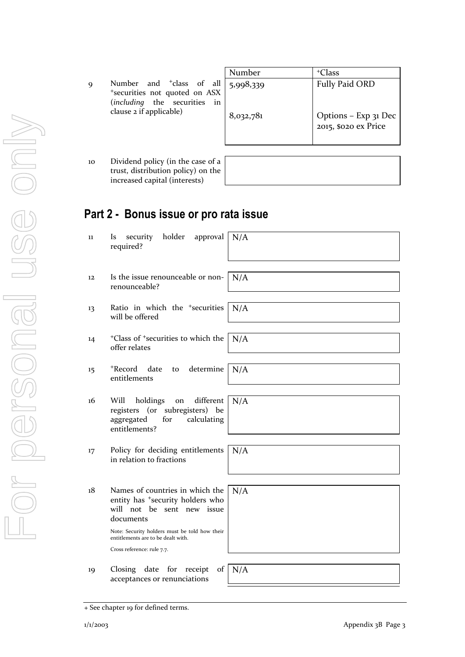- For personal use only USE ONN
- 9 Number and <sup>+</sup>class of all <sup>+</sup>securities not quoted on ASX (*including* the securities in clause 2 if applicable)
- 10 Dividend policy (in the case of a trust, distribution policy) on the increased capital (interests)

# **Part 2 - Bonus issue or pro rata issue**

- 11 Is security holder approval required?
- 12 Is the issue renounceable or nonrenounceable?
- 13 Ratio in which the <sup>+</sup>securities will be offered  $N/A$
- <sup>+</sup>Class of <sup>+</sup>securities to which the offer relates N/A
- 15 <sup>+</sup>Record date to determine entitlements
- 16 Will holdings on different registers (or subregisters) be aggregated for calculating entitlements?
- 17 Policy for deciding entitlements in relation to fractions N/A
- 18 Names of countries in which the entity has <sup>+</sup>security holders who will not be sent new issue documents Note: Security holders must be told how their entitlements are to be dealt with.

Cross reference: rule 7.7.

19 Closing date for receipt of acceptances or renunciations

| Number    | <sup>+</sup> Class                           |
|-----------|----------------------------------------------|
| 5,998,339 | <b>Fully Paid ORD</b>                        |
|           |                                              |
|           |                                              |
| 8,032,781 | Options – Exp 31 Dec<br>2015, \$020 ex Price |
|           |                                              |
|           |                                              |

| N/A |  |  |  |
|-----|--|--|--|

N/A

N/A

N/A

N/A

 $N/A$ 

<sup>+</sup> See chapter 19 for defined terms.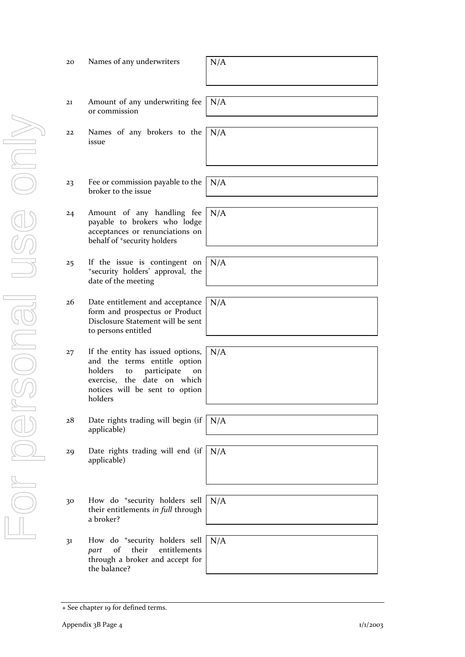| 20 | Names of any underwriters                                                                                                                                                           | N/A |
|----|-------------------------------------------------------------------------------------------------------------------------------------------------------------------------------------|-----|
| 21 | Amount of any underwriting fee<br>or commission                                                                                                                                     | N/A |
| 22 | Names of any brokers to the<br>issue                                                                                                                                                | N/A |
| 23 | Fee or commission payable to the<br>broker to the issue                                                                                                                             | N/A |
| 24 | Amount of any handling fee<br>payable to brokers who lodge<br>acceptances or renunciations on<br>behalf of <sup>+</sup> security holders                                            | N/A |
| 25 | If the issue is contingent on<br>*security holders' approval, the<br>date of the meeting                                                                                            | N/A |
| 26 | Date entitlement and acceptance<br>form and prospectus or Product<br>Disclosure Statement will be sent<br>to persons entitled                                                       | N/A |
| 27 | If the entity has issued options,<br>and the terms entitle option<br>holders<br>participate<br>to<br>on<br>exercise, the date on which<br>notices will be sent to option<br>holders | N/A |
| 28 | Date rights trading will begin (if<br>applicable)                                                                                                                                   | N/A |
| 29 | Date rights trading will end (if<br>applicable)                                                                                                                                     | N/A |
| 30 | How do <sup>+</sup> security holders sell<br>their entitlements in full through<br>a broker?                                                                                        | N/A |
| 31 | How do <sup>+</sup> security holders sell<br>of<br>their<br>entitlements<br>part<br>through a broker and accept for<br>the balance?                                                 | N/A |

<sup>+</sup> See chapter 19 for defined terms.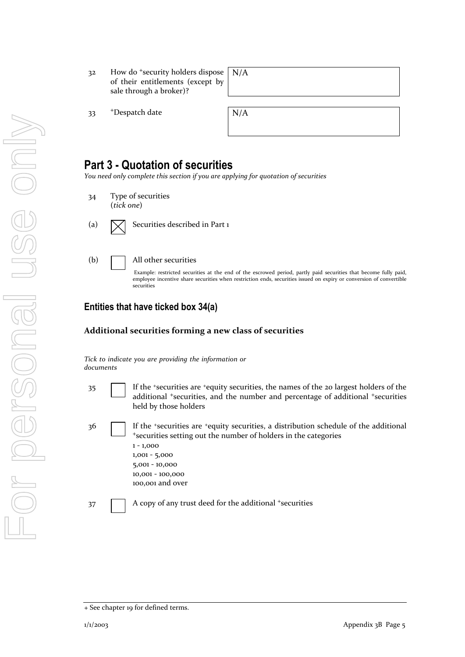32 How do <sup>+</sup>security holders dispose of their entitlements (except by sale through a broker)?

N/A

33 +Despatch date

## **Part 3 - Quotation of securities**

*You need only complete this section if you are applying for quotation of securities*

- 34 Type of securities (*tick one*)
- (a)  $\boxed{\bigtimes}$  Securities described in Part 1
- 

(b) All other securities

Example: restricted securities at the end of the escrowed period, partly paid securities that become fully paid, employee incentive share securities when restriction ends, securities issued on expiry or conversion of convertible securities

## **Entities that have ticked box 34(a)**

#### **Additional securities forming a new class of securities**

*Tick to indicate you are providing the information or documents*

- 35 If the <sup>+</sup>securities are <sup>+</sup>equity securities, the names of the 20 largest holders of the additional <sup>+</sup>securities, and the number and percentage of additional <sup>+</sup>securities held by those holders
- 36 If the <sup>+</sup>securities are <sup>+</sup>equity securities, a distribution schedule of the additional <sup>+</sup>securities setting out the number of holders in the categories 1 - 1,000 1,001 - 5,000 5,001 - 10,000 10,001 - 100,000 100,001 and over

37 A copy of any trust deed for the additional +securities

<sup>+</sup> See chapter 19 for defined terms.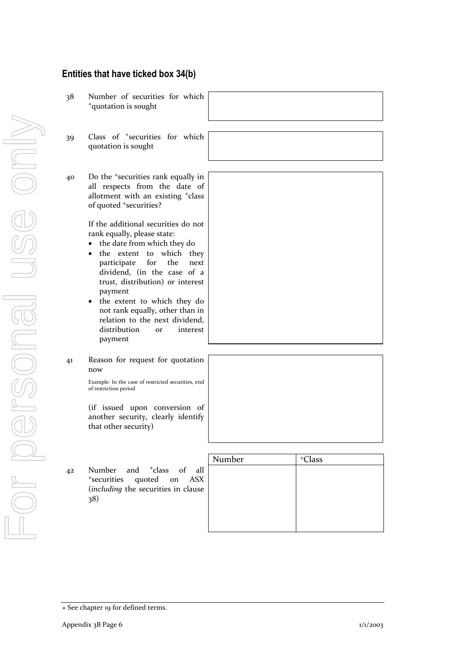## **Entities that have ticked box 34(b)**

38 Number of securities for which <sup>+</sup>quotation is sought 39 Class of <sup>+</sup>securities for which quotation is sought 40 Do the <sup>+</sup>securities rank equally in all respects from the date of allotment with an existing <sup>+</sup>class of quoted <sup>+</sup>securities? If the additional securities do not rank equally, please state: the date from which they do the extent to which they participate for the next dividend, (in the case of a trust, distribution) or interest payment the extent to which they do not rank equally, other than in relation to the next dividend, distribution or interest payment 41 Reason for request for quotation now Example: In the case of restricted securities, end of restriction period

(if issued upon conversion of another security, clearly identify that other security)

42 Number and <sup>+</sup>class of all <sup>+</sup>securities quoted on ASX (*including* the securities in clause 38)

| Number | <sup>+</sup> Class |
|--------|--------------------|
|        |                    |
|        |                    |
|        |                    |
|        |                    |
|        |                    |

<sup>+</sup> See chapter 19 for defined terms.